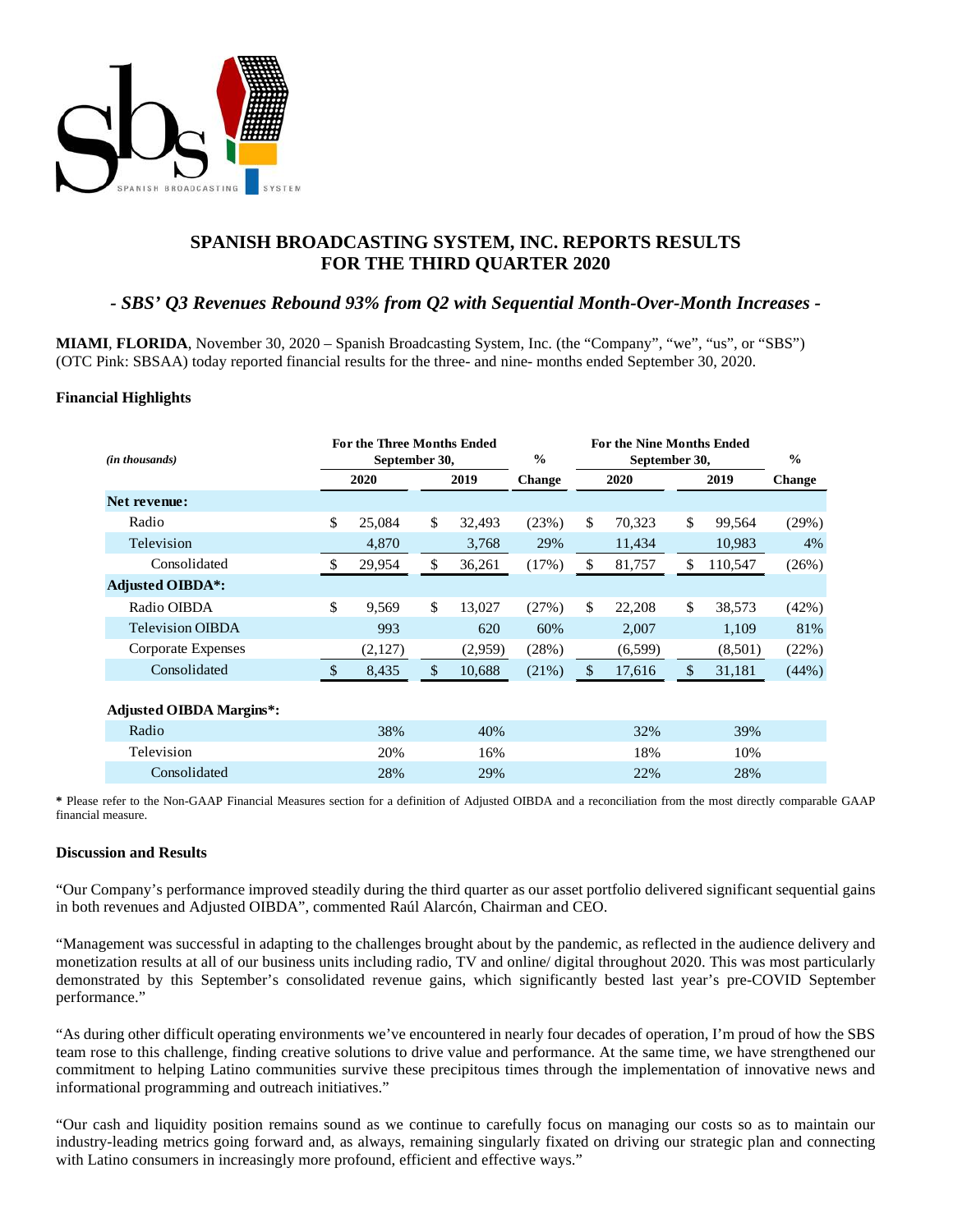

# **SPANISH BROADCASTING SYSTEM, INC. REPORTS RESULTS FOR THE THIRD QUARTER 2020**

# *- SBS' Q3 Revenues Rebound 93% from Q2 with Sequential Month-Over-Month Increases -*

**MIAMI**, **FLORIDA**, November 30, 2020 – Spanish Broadcasting System, Inc. (the "Company", "we", "us", or "SBS") (OTC Pink: SBSAA) today reported financial results for the three- and nine- months ended September 30, 2020.

#### **Financial Highlights**

| (in thousands)                  | For the Three Months Ended<br>September 30, |         |    | $\frac{0}{0}$ | <b>For the Nine Months Ended</b><br>September 30, |               |              |               | $\frac{0}{0}$ |               |
|---------------------------------|---------------------------------------------|---------|----|---------------|---------------------------------------------------|---------------|--------------|---------------|---------------|---------------|
|                                 |                                             | 2020    |    | 2019          | <b>Change</b>                                     |               | 2020<br>2019 |               |               | <b>Change</b> |
| Net revenue:                    |                                             |         |    |               |                                                   |               |              |               |               |               |
| Radio                           | \$                                          | 25,084  | \$ | 32,493        | (23%)                                             | \$            | 70,323       | \$            | 99,564        | (29%)         |
| Television                      |                                             | 4,870   |    | 3,768         | 29%                                               |               | 11,434       |               | 10,983        | 4%            |
| Consolidated                    | \$                                          | 29,954  | \$ | 36,261        | (17%)                                             | \$            | 81,757       | \$            | 110,547       | (26%)         |
| <b>Adjusted OIBDA*:</b>         |                                             |         |    |               |                                                   |               |              |               |               |               |
| Radio OIBDA                     | $\mathbb{S}$                                | 9.569   | \$ | 13,027        | (27%)                                             | \$            | 22,208       | \$            | 38,573        | (42%)         |
| <b>Television OIBDA</b>         |                                             | 993     |    | 620           | 60%                                               |               | 2,007        |               | 1,109         | 81%           |
| Corporate Expenses              |                                             | (2,127) |    | (2,959)       | (28%)                                             |               | (6, 599)     |               | (8,501)       | (22%)         |
| Consolidated                    | $\mathcal{S}$                               | 8,435   | \$ | 10,688        | (21%)                                             | $\mathcal{S}$ | 17,616       | $\mathcal{L}$ | 31,181        | (44%)         |
|                                 |                                             |         |    |               |                                                   |               |              |               |               |               |
| <b>Adjusted OIBDA Margins*:</b> |                                             |         |    |               |                                                   |               |              |               |               |               |
| Radio                           |                                             | 38%     |    | 40%           |                                                   |               | 32%          |               | 39%           |               |
| Television                      |                                             | 20%     |    | 16%           |                                                   |               | 18%          |               | 10%           |               |
| Consolidated                    |                                             | 28%     |    | 29%           |                                                   |               | 22%          |               | 28%           |               |

**\*** Please refer to the Non-GAAP Financial Measures section for a definition of Adjusted OIBDA and a reconciliation from the most directly comparable GAAP financial measure.

#### **Discussion and Results**

"Our Company's performance improved steadily during the third quarter as our asset portfolio delivered significant sequential gains in both revenues and Adjusted OIBDA", commented Raúl Alarcón, Chairman and CEO.

"Management was successful in adapting to the challenges brought about by the pandemic, as reflected in the audience delivery and monetization results at all of our business units including radio, TV and online/ digital throughout 2020. This was most particularly demonstrated by this September's consolidated revenue gains, which significantly bested last year's pre-COVID September performance."

"As during other difficult operating environments we've encountered in nearly four decades of operation, I'm proud of how the SBS team rose to this challenge, finding creative solutions to drive value and performance. At the same time, we have strengthened our commitment to helping Latino communities survive these precipitous times through the implementation of innovative news and informational programming and outreach initiatives."

"Our cash and liquidity position remains sound as we continue to carefully focus on managing our costs so as to maintain our industry-leading metrics going forward and, as always, remaining singularly fixated on driving our strategic plan and connecting with Latino consumers in increasingly more profound, efficient and effective ways."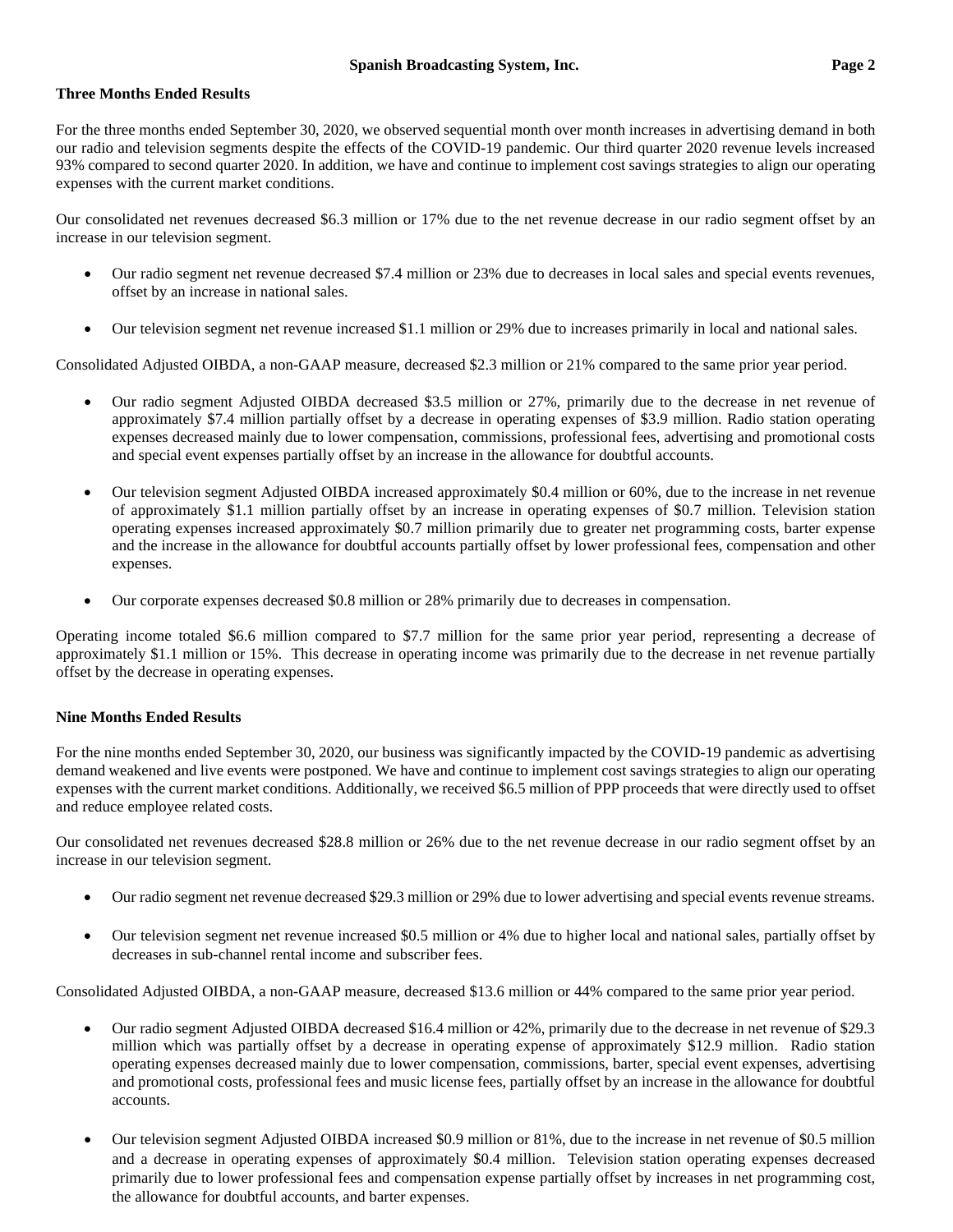## **Three Months Ended Results**

For the three months ended September 30, 2020, we observed sequential month over month increases in advertising demand in both our radio and television segments despite the effects of the COVID-19 pandemic. Our third quarter 2020 revenue levels increased 93% compared to second quarter 2020. In addition, we have and continue to implement cost savings strategies to align our operating expenses with the current market conditions.

Our consolidated net revenues decreased \$6.3 million or 17% due to the net revenue decrease in our radio segment offset by an increase in our television segment.

- Our radio segment net revenue decreased \$7.4 million or 23% due to decreases in local sales and special events revenues, offset by an increase in national sales.
- Our television segment net revenue increased \$1.1 million or 29% due to increases primarily in local and national sales.

Consolidated Adjusted OIBDA, a non-GAAP measure, decreased \$2.3 million or 21% compared to the same prior year period.

- Our radio segment Adjusted OIBDA decreased \$3.5 million or 27%, primarily due to the decrease in net revenue of approximately \$7.4 million partially offset by a decrease in operating expenses of \$3.9 million. Radio station operating expenses decreased mainly due to lower compensation, commissions, professional fees, advertising and promotional costs and special event expenses partially offset by an increase in the allowance for doubtful accounts.
- Our television segment Adjusted OIBDA increased approximately \$0.4 million or 60%, due to the increase in net revenue of approximately \$1.1 million partially offset by an increase in operating expenses of \$0.7 million. Television station operating expenses increased approximately \$0.7 million primarily due to greater net programming costs, barter expense and the increase in the allowance for doubtful accounts partially offset by lower professional fees, compensation and other expenses.
- Our corporate expenses decreased \$0.8 million or 28% primarily due to decreases in compensation.

Operating income totaled \$6.6 million compared to \$7.7 million for the same prior year period, representing a decrease of approximately \$1.1 million or 15%. This decrease in operating income was primarily due to the decrease in net revenue partially offset by the decrease in operating expenses.

## **Nine Months Ended Results**

For the nine months ended September 30, 2020, our business was significantly impacted by the COVID-19 pandemic as advertising demand weakened and live events were postponed. We have and continue to implement cost savings strategies to align our operating expenses with the current market conditions. Additionally, we received \$6.5 million of PPP proceeds that were directly used to offset and reduce employee related costs.

Our consolidated net revenues decreased \$28.8 million or 26% due to the net revenue decrease in our radio segment offset by an increase in our television segment.

- Our radio segment net revenue decreased \$29.3 million or 29% due to lower advertising and special events revenue streams.
- Our television segment net revenue increased \$0.5 million or 4% due to higher local and national sales, partially offset by decreases in sub-channel rental income and subscriber fees.

Consolidated Adjusted OIBDA, a non-GAAP measure, decreased \$13.6 million or 44% compared to the same prior year period.

- Our radio segment Adjusted OIBDA decreased \$16.4 million or 42%, primarily due to the decrease in net revenue of \$29.3 million which was partially offset by a decrease in operating expense of approximately \$12.9 million. Radio station operating expenses decreased mainly due to lower compensation, commissions, barter, special event expenses, advertising and promotional costs, professional fees and music license fees, partially offset by an increase in the allowance for doubtful accounts.
- Our television segment Adjusted OIBDA increased \$0.9 million or 81%, due to the increase in net revenue of \$0.5 million and a decrease in operating expenses of approximately \$0.4 million. Television station operating expenses decreased primarily due to lower professional fees and compensation expense partially offset by increases in net programming cost, the allowance for doubtful accounts, and barter expenses.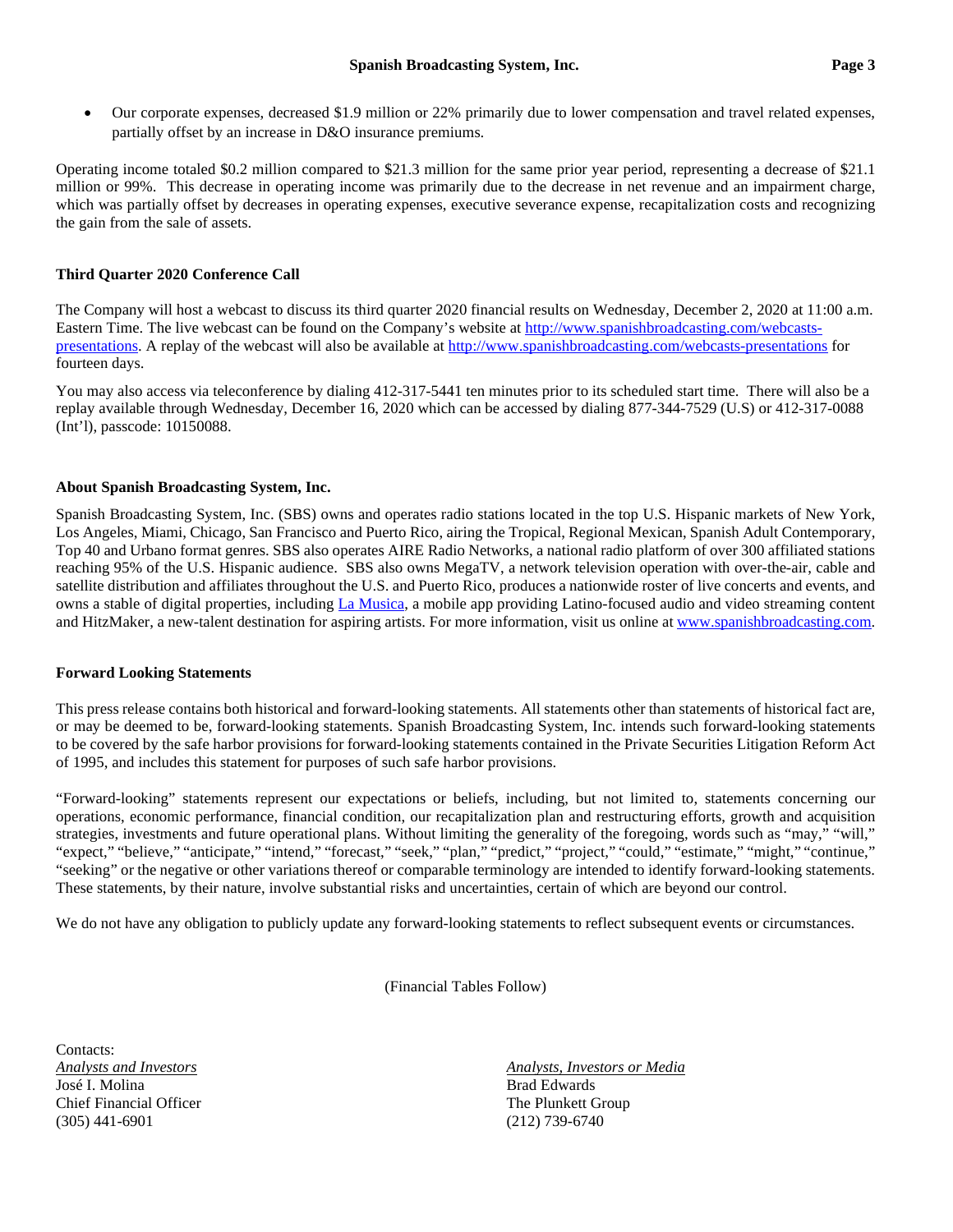• Our corporate expenses, decreased \$1.9 million or 22% primarily due to lower compensation and travel related expenses, partially offset by an increase in D&O insurance premiums.

Operating income totaled \$0.2 million compared to \$21.3 million for the same prior year period, representing a decrease of \$21.1 million or 99%. This decrease in operating income was primarily due to the decrease in net revenue and an impairment charge, which was partially offset by decreases in operating expenses, executive severance expense, recapitalization costs and recognizing the gain from the sale of assets.

# **Third Quarter 2020 Conference Call**

The Company will host a webcast to discuss its third quarter 2020 financial results on Wednesday, December 2, 2020 at 11:00 a.m. Eastern Time. The live webcast can be found on the Company's website a[t http://www.spanishbroadcasting.com/webcasts](http://www.spanishbroadcasting.com/webcasts-presentations)[presentations.](http://www.spanishbroadcasting.com/webcasts-presentations) A replay of the webcast will also be available at<http://www.spanishbroadcasting.com/webcasts-presentations> for fourteen days.

You may also access via teleconference by dialing 412-317-5441 ten minutes prior to its scheduled start time. There will also be a replay available through Wednesday, December 16, 2020 which can be accessed by dialing 877-344-7529 (U.S) or 412-317-0088 (Int'l), passcode: 10150088.

## **About Spanish Broadcasting System, Inc.**

Spanish Broadcasting System, Inc. (SBS) owns and operates radio stations located in the top U.S. Hispanic markets of New York, Los Angeles, Miami, Chicago, San Francisco and Puerto Rico, airing the Tropical, Regional Mexican, Spanish Adult Contemporary, Top 40 and Urbano format genres. SBS also operates AIRE Radio Networks, a national radio platform of over 300 affiliated stations reaching 95% of the U.S. Hispanic audience. SBS also owns MegaTV, a network television operation with over-the-air, cable and satellite distribution and affiliates throughout the U.S. and Puerto Rico, produces a nationwide roster of live concerts and events, and owns a stable of digital properties, including [La Musica,](http://www.lamusica.com/) a mobile app providing Latino-focused audio and video streaming content and HitzMaker, a new-talent destination for aspiring artists. For more information, visit us online at [www.spanishbroadcasting.com.](http://www.spanishbroadcasting.com/)

# **Forward Looking Statements**

This press release contains both historical and forward-looking statements. All statements other than statements of historical fact are, or may be deemed to be, forward-looking statements. Spanish Broadcasting System, Inc. intends such forward-looking statements to be covered by the safe harbor provisions for forward-looking statements contained in the Private Securities Litigation Reform Act of 1995, and includes this statement for purposes of such safe harbor provisions.

"Forward-looking" statements represent our expectations or beliefs, including, but not limited to, statements concerning our operations, economic performance, financial condition, our recapitalization plan and restructuring efforts, growth and acquisition strategies, investments and future operational plans. Without limiting the generality of the foregoing, words such as "may," "will," "expect," "believe," "anticipate," "intend," "forecast," "seek," "plan," "predict," "project," "could," "estimate," "might," "continue," "seeking" or the negative or other variations thereof or comparable terminology are intended to identify forward-looking statements. These statements, by their nature, involve substantial risks and uncertainties, certain of which are beyond our control.

We do not have any obligation to publicly update any forward-looking statements to reflect subsequent events or circumstances.

(Financial Tables Follow)

Contacts<sup>.</sup> José I. Molina **Brad Edwards** Brad Edwards Chief Financial Officer The Plunkett Group (305) 441-6901 (212) 739-6740

*Analysts and Investors Analysts, Investors or Media*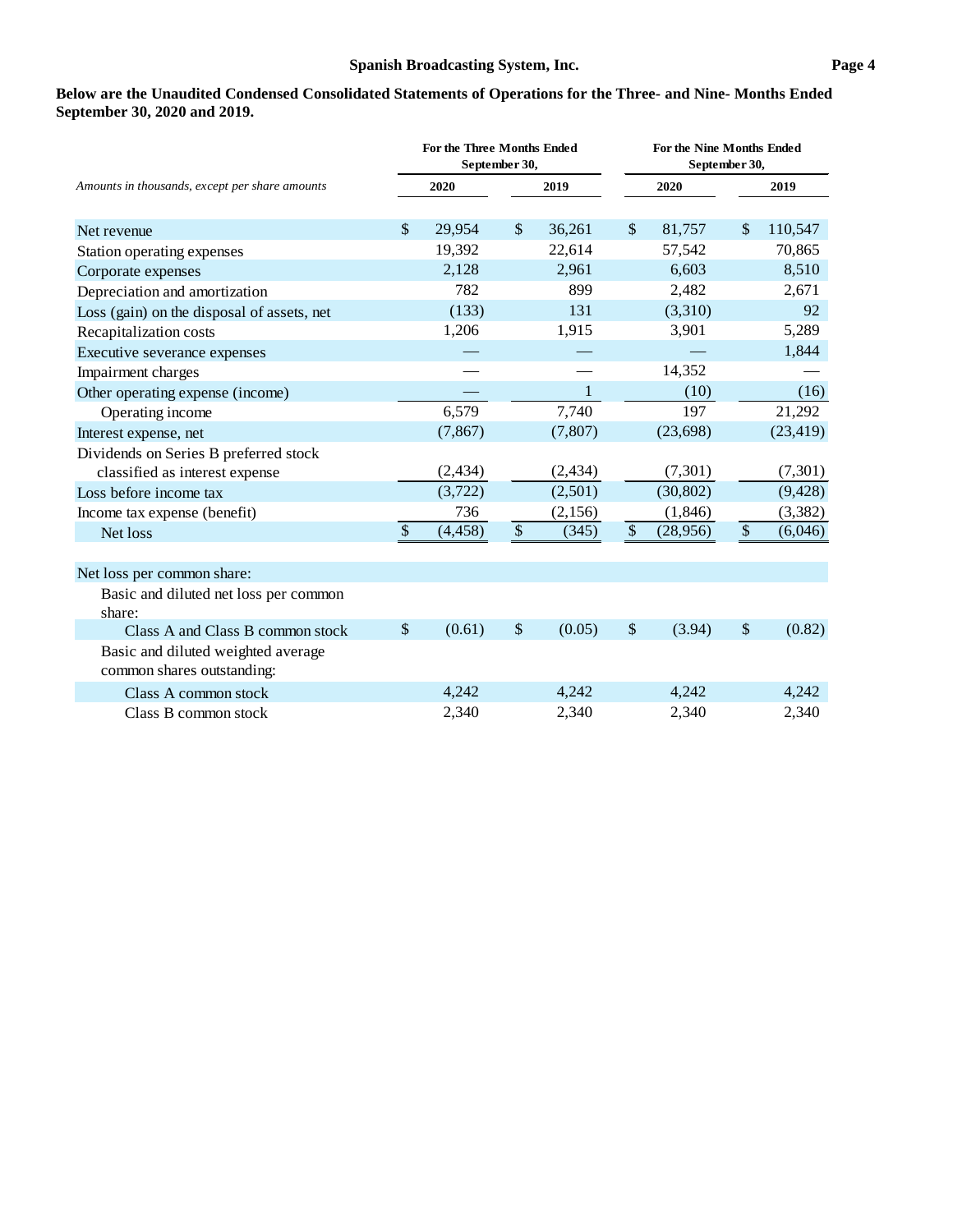**Below are the Unaudited Condensed Consolidated Statements of Operations for the Three- and Nine- Months Ended September 30, 2020 and 2019.**

|                                                |               | <b>For the Three Months Ended</b> | September 30, |              | For the Nine Months Ended<br>September 30, |           |         |           |  |
|------------------------------------------------|---------------|-----------------------------------|---------------|--------------|--------------------------------------------|-----------|---------|-----------|--|
| Amounts in thousands, except per share amounts |               | 2020                              |               | 2019         |                                            | 2020      |         | 2019      |  |
|                                                |               |                                   |               |              |                                            |           |         |           |  |
| Net revenue                                    | $\mathcal{S}$ | 29,954                            | \$            | 36,261       | $\frac{1}{2}$                              | 81,757    | \$      | 110,547   |  |
| Station operating expenses                     |               | 19,392                            |               | 22,614       |                                            | 57,542    |         | 70,865    |  |
| Corporate expenses                             |               | 2,128                             |               | 2,961        |                                            | 6,603     |         | 8,510     |  |
| Depreciation and amortization                  |               | 782                               |               | 899          |                                            | 2,482     |         | 2,671     |  |
| Loss (gain) on the disposal of assets, net     |               | (133)                             |               | 131          |                                            | (3,310)   |         | 92        |  |
| Recapitalization costs                         |               | 1,206                             |               | 1,915        |                                            | 3,901     |         | 5,289     |  |
| Executive severance expenses                   |               |                                   |               |              |                                            |           |         | 1,844     |  |
| Impairment charges                             |               |                                   |               |              |                                            | 14,352    |         |           |  |
| Other operating expense (income)               |               |                                   |               | $\mathbf{1}$ |                                            | (10)      |         | (16)      |  |
| Operating income                               |               | 6,579                             |               | 7,740        |                                            | 197       |         | 21,292    |  |
| Interest expense, net                          |               | (7, 867)                          |               | (7, 807)     |                                            | (23, 698) |         | (23, 419) |  |
| Dividends on Series B preferred stock          |               |                                   |               |              |                                            |           |         |           |  |
| classified as interest expense                 |               | (2, 434)                          |               | (2, 434)     |                                            | (7,301)   |         | (7, 301)  |  |
| Loss before income tax                         |               | (3,722)                           |               | (2,501)      |                                            | (30, 802) |         | (9, 428)  |  |
| Income tax expense (benefit)                   |               | 736                               |               | (2,156)      |                                            | (1,846)   |         | (3, 382)  |  |
| Net loss                                       | $\mathcal{S}$ | (4, 458)                          | $\$\,$        | (345)        | $\mathcal{S}$                              | (28,956)  | $\sqrt$ | (6,046)   |  |
| Net loss per common share:                     |               |                                   |               |              |                                            |           |         |           |  |
| Basic and diluted net loss per common          |               |                                   |               |              |                                            |           |         |           |  |
| share:                                         |               |                                   |               |              |                                            |           |         |           |  |
| Class A and Class B common stock               | $\$\$         | (0.61)                            | $\$\$         | (0.05)       | \$                                         | (3.94)    | \$      | (0.82)    |  |
| Basic and diluted weighted average             |               |                                   |               |              |                                            |           |         |           |  |
| common shares outstanding:                     |               |                                   |               |              |                                            |           |         |           |  |
| Class A common stock                           |               | 4,242                             |               | 4,242        |                                            | 4,242     |         | 4,242     |  |
| Class B common stock                           |               | 2,340                             |               | 2,340        |                                            | 2,340     |         | 2,340     |  |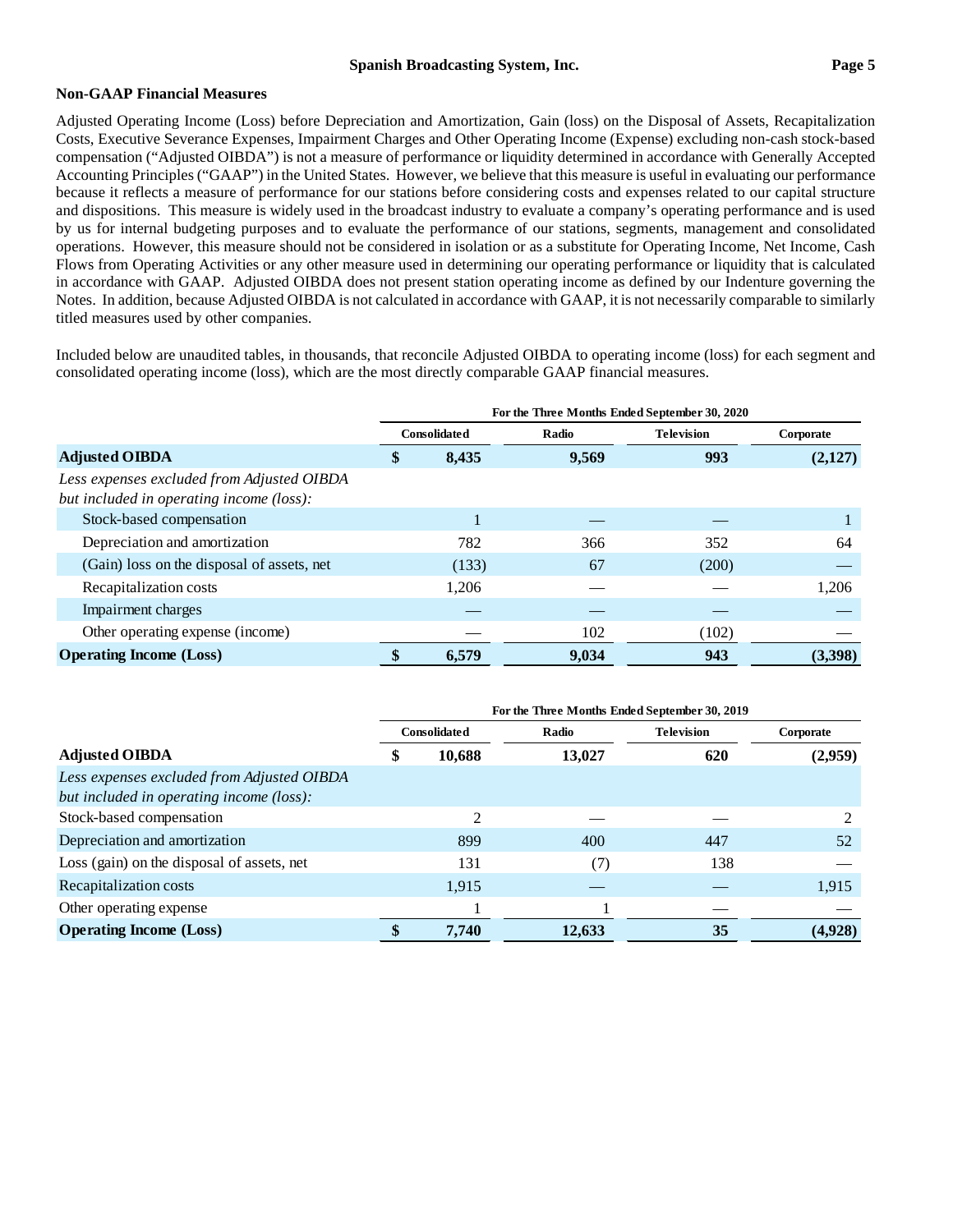## **Non-GAAP Financial Measures**

Adjusted Operating Income (Loss) before Depreciation and Amortization, Gain (loss) on the Disposal of Assets, Recapitalization Costs, Executive Severance Expenses, Impairment Charges and Other Operating Income (Expense) excluding non-cash stock-based compensation ("Adjusted OIBDA") is not a measure of performance or liquidity determined in accordance with Generally Accepted Accounting Principles ("GAAP") in the United States. However, we believe that this measure is useful in evaluating our performance because it reflects a measure of performance for our stations before considering costs and expenses related to our capital structure and dispositions. This measure is widely used in the broadcast industry to evaluate a company's operating performance and is used by us for internal budgeting purposes and to evaluate the performance of our stations, segments, management and consolidated operations. However, this measure should not be considered in isolation or as a substitute for Operating Income, Net Income, Cash Flows from Operating Activities or any other measure used in determining our operating performance or liquidity that is calculated in accordance with GAAP. Adjusted OIBDA does not present station operating income as defined by our Indenture governing the Notes. In addition, because Adjusted OIBDA is not calculated in accordance with GAAP, it is not necessarily comparable to similarly titled measures used by other companies.

Included below are unaudited tables, in thousands, that reconcile Adjusted OIBDA to operating income (loss) for each segment and consolidated operating income (loss), which are the most directly comparable GAAP financial measures.

|                                                                                        | For the Three Months Ended September 30, 2020 |                     |       |                   |           |  |  |  |
|----------------------------------------------------------------------------------------|-----------------------------------------------|---------------------|-------|-------------------|-----------|--|--|--|
|                                                                                        |                                               | <b>Consolidated</b> | Radio | <b>Television</b> | Corporate |  |  |  |
| <b>Adjusted OIBDA</b>                                                                  |                                               | 8,435               | 9,569 | 993               | (2,127)   |  |  |  |
| Less expenses excluded from Adjusted OIBDA<br>but included in operating income (loss): |                                               |                     |       |                   |           |  |  |  |
| Stock-based compensation                                                               |                                               |                     |       |                   |           |  |  |  |
| Depreciation and amortization                                                          |                                               | 782                 | 366   | 352               | 64        |  |  |  |
| (Gain) loss on the disposal of assets, net                                             |                                               | (133)               | 67    | (200)             |           |  |  |  |
| Recapitalization costs                                                                 |                                               | 1.206               |       |                   | 1,206     |  |  |  |
| Impairment charges                                                                     |                                               |                     |       |                   |           |  |  |  |
| Other operating expense (income)                                                       |                                               |                     | 102   | (102)             |           |  |  |  |
| <b>Operating Income (Loss)</b>                                                         |                                               | 6.579               | 9,034 | 943               | (3,398)   |  |  |  |

|                                                                                        | For the Three Months Ended September 30, 2019 |                     |        |                   |           |  |  |  |  |  |
|----------------------------------------------------------------------------------------|-----------------------------------------------|---------------------|--------|-------------------|-----------|--|--|--|--|--|
|                                                                                        |                                               | <b>Consolidated</b> | Radio  | <b>Television</b> | Corporate |  |  |  |  |  |
| <b>Adjusted OIBDA</b>                                                                  | 10,688<br>\$                                  |                     | 13,027 | 620               | (2,959)   |  |  |  |  |  |
| Less expenses excluded from Adjusted OIBDA<br>but included in operating income (loss): |                                               |                     |        |                   |           |  |  |  |  |  |
| Stock-based compensation                                                               |                                               | $\mathfrak{D}$      |        |                   |           |  |  |  |  |  |
| Depreciation and amortization                                                          |                                               | 899                 | 400    | 447               | .52       |  |  |  |  |  |
| Loss (gain) on the disposal of assets, net                                             |                                               | 131                 | (7)    | 138               |           |  |  |  |  |  |
| Recapitalization costs                                                                 |                                               | 1,915               |        |                   | 1,915     |  |  |  |  |  |
| Other operating expense                                                                |                                               |                     |        |                   |           |  |  |  |  |  |
| <b>Operating Income (Loss)</b>                                                         |                                               | 7,740               | 12,633 | 35                | (4,928)   |  |  |  |  |  |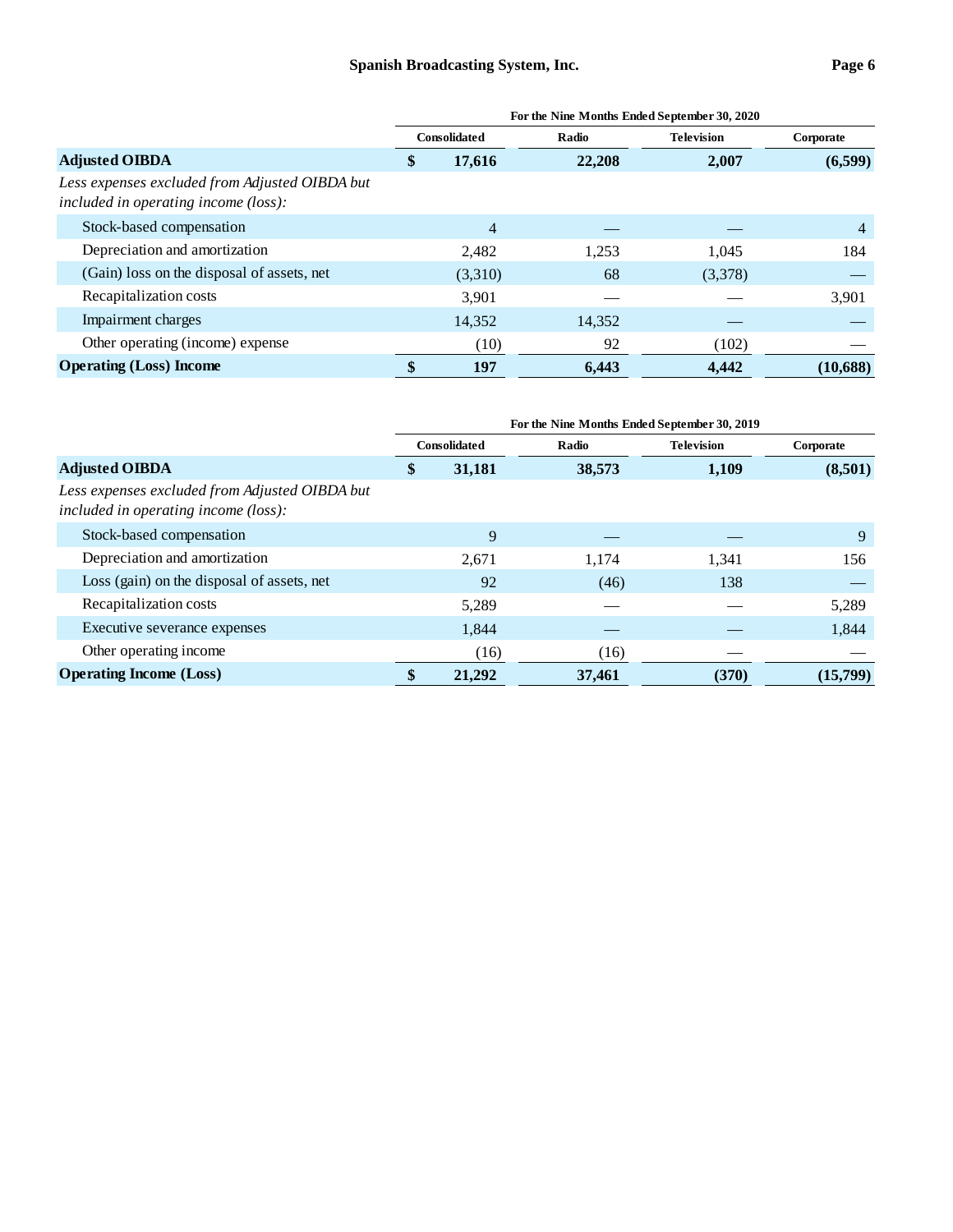|                                                                                        | For the Nine Months Ended September 30, 2020 |              |        |                   |           |  |  |  |  |  |
|----------------------------------------------------------------------------------------|----------------------------------------------|--------------|--------|-------------------|-----------|--|--|--|--|--|
| <b>Adjusted OIBDA</b>                                                                  |                                              | Consolidated | Radio  | <b>Television</b> | Corporate |  |  |  |  |  |
|                                                                                        |                                              | 17,616       | 22,208 | 2,007             | (6,599)   |  |  |  |  |  |
| Less expenses excluded from Adjusted OIBDA but<br>included in operating income (loss): |                                              |              |        |                   |           |  |  |  |  |  |
| Stock-based compensation                                                               |                                              | 4            |        |                   | 4         |  |  |  |  |  |
| Depreciation and amortization                                                          |                                              | 2.482        | 1,253  | 1.045             | 184       |  |  |  |  |  |
| (Gain) loss on the disposal of assets, net                                             |                                              | (3,310)      | 68     | (3,378)           |           |  |  |  |  |  |
| Recapitalization costs                                                                 |                                              | 3.901        |        |                   | 3,901     |  |  |  |  |  |
| Impairment charges                                                                     |                                              | 14,352       | 14,352 |                   |           |  |  |  |  |  |
| Other operating (income) expense                                                       |                                              | (10)         | 92     | (102)             |           |  |  |  |  |  |
| <b>Operating (Loss)</b> Income                                                         | \$                                           | 197          | 6.443  | 4,442             | (10, 688) |  |  |  |  |  |

|                                                                                        | For the Nine Months Ended September 30, 2019 |                     |        |                   |           |  |  |  |  |  |
|----------------------------------------------------------------------------------------|----------------------------------------------|---------------------|--------|-------------------|-----------|--|--|--|--|--|
| <b>Adjusted OIBDA</b>                                                                  |                                              | <b>Consolidated</b> | Radio  | <b>Television</b> | Corporate |  |  |  |  |  |
|                                                                                        |                                              | 31,181              | 38,573 | 1,109             | (8,501)   |  |  |  |  |  |
| Less expenses excluded from Adjusted OIBDA but<br>included in operating income (loss): |                                              |                     |        |                   |           |  |  |  |  |  |
| Stock-based compensation                                                               |                                              | 9                   |        |                   | 9         |  |  |  |  |  |
| Depreciation and amortization                                                          |                                              | 2,671               | 1,174  | 1,341             | 156       |  |  |  |  |  |
| Loss (gain) on the disposal of assets, net                                             |                                              | 92                  | (46)   | 138               |           |  |  |  |  |  |
| Recapitalization costs                                                                 |                                              | 5,289               |        |                   | 5,289     |  |  |  |  |  |
| Executive severance expenses                                                           |                                              | 1,844               |        |                   | 1,844     |  |  |  |  |  |
| Other operating income                                                                 |                                              | (16)                | (16)   |                   |           |  |  |  |  |  |
| <b>Operating Income (Loss)</b>                                                         | \$                                           | 21,292              | 37,461 | (370)             | (15,799)  |  |  |  |  |  |